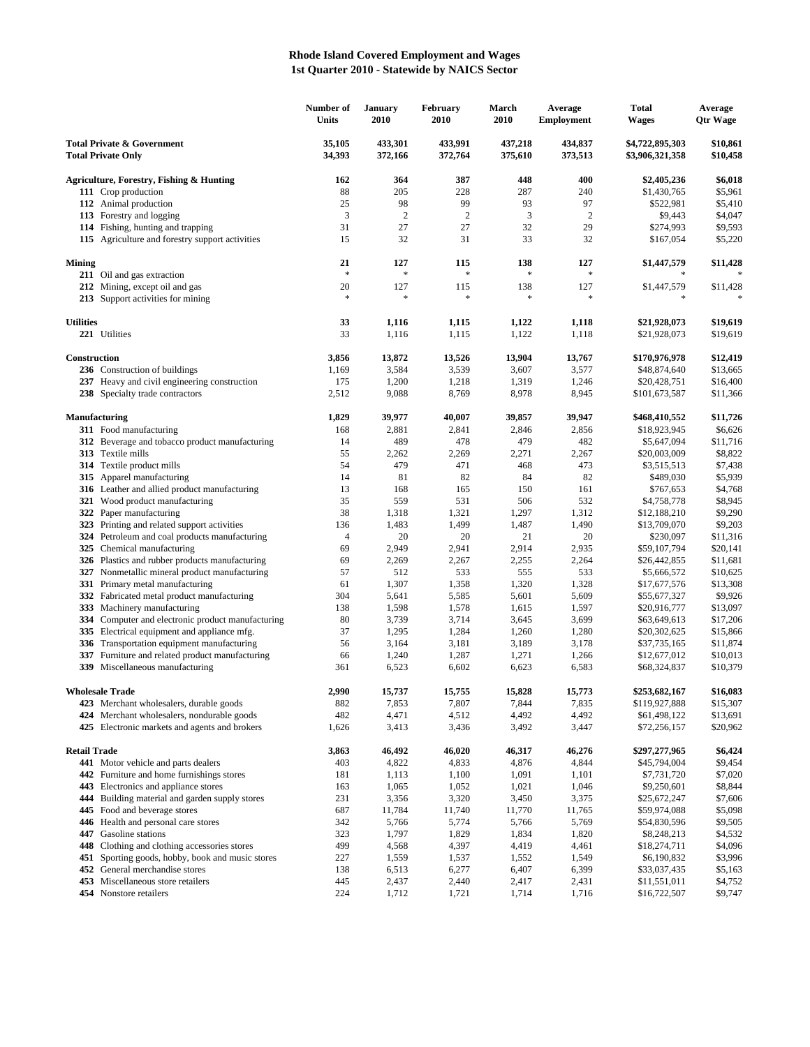## **Rhode Island Covered Employment and Wages 1st Quarter 2010 - Statewide by NAICS Sector**

|                                                                    |                                                                                             | Number of<br>Units | <b>January</b><br>2010 | February<br>2010   | March<br>2010        | Average<br><b>Employment</b> | <b>Total</b><br><b>Wages</b>       | Average<br><b>Qtr Wage</b> |
|--------------------------------------------------------------------|---------------------------------------------------------------------------------------------|--------------------|------------------------|--------------------|----------------------|------------------------------|------------------------------------|----------------------------|
| <b>Total Private &amp; Government</b><br><b>Total Private Only</b> |                                                                                             | 35,105<br>34,393   | 433,301<br>372,166     | 433,991<br>372,764 | 437,218<br>375,610   | 434,837<br>373,513           | \$4,722,895,303<br>\$3,906,321,358 | \$10,861<br>\$10,458       |
|                                                                    | Agriculture, Forestry, Fishing & Hunting                                                    | 162                | 364                    | 387                | 448                  | 400                          | \$2,405,236                        | \$6,018                    |
|                                                                    | 111 Crop production                                                                         | 88                 | 205                    | 228                | 287                  | 240                          | \$1,430,765                        | \$5,961                    |
|                                                                    | 112 Animal production                                                                       | 25                 | 98                     | 99                 | 93                   | 97                           | \$522,981                          | \$5,410                    |
|                                                                    | 113 Forestry and logging                                                                    | 3                  | $\sqrt{2}$             | 2                  | 3                    | $\overline{c}$               | \$9,443                            | \$4,047                    |
|                                                                    | 114 Fishing, hunting and trapping                                                           | 31                 | 27                     | 27                 | 32                   | 29                           | \$274,993                          | \$9,593                    |
|                                                                    | 115 Agriculture and forestry support activities                                             | 15                 | 32                     | 31                 | 33                   | 32                           | \$167,054                          | \$5,220                    |
| <b>Mining</b>                                                      |                                                                                             | 21<br>$\ast$       | 127<br>*               | 115<br>字           | 138<br>$\frac{1}{2}$ | 127                          | \$1,447,579                        | \$11,428                   |
|                                                                    | 211 Oil and gas extraction<br>212 Mining, except oil and gas                                | 20                 | 127                    | 115                | 138                  | 127                          |                                    |                            |
|                                                                    | 213 Support activities for mining                                                           | $\ast$             | *                      | 字                  | $\frac{1}{2}$        |                              | \$1,447,579<br>$\frac{1}{2}$       | \$11,428                   |
| <b>Utilities</b>                                                   |                                                                                             | 33                 | 1,116                  | 1,115              | 1,122                | 1,118                        | \$21,928,073                       | \$19,619                   |
|                                                                    | 221 Utilities                                                                               | 33                 | 1,116                  | 1,115              | 1,122                | 1,118                        | \$21,928,073                       | \$19,619                   |
| Construction                                                       |                                                                                             | 3,856              | 13,872                 | 13,526             | 13,904               | 13,767                       | \$170,976,978                      | \$12,419                   |
|                                                                    | 236 Construction of buildings                                                               | 1,169              | 3,584                  | 3,539              | 3,607                | 3,577                        | \$48,874,640                       | \$13,665                   |
|                                                                    | 237 Heavy and civil engineering construction<br>238 Specialty trade contractors             | 175<br>2,512       | 1,200<br>9,088         | 1,218<br>8,769     | 1,319<br>8,978       | 1,246<br>8,945               | \$20,428,751<br>\$101,673,587      | \$16,400<br>\$11,366       |
|                                                                    |                                                                                             |                    |                        |                    |                      |                              |                                    |                            |
|                                                                    | <b>Manufacturing</b>                                                                        | 1,829              | 39,977                 | 40,007             | 39,857               | 39,947                       | \$468,410,552                      | \$11,726                   |
|                                                                    | 311 Food manufacturing                                                                      | 168                | 2,881                  | 2,841              | 2,846                | 2,856                        | \$18,923,945                       | \$6,626                    |
|                                                                    | 312 Beverage and tobacco product manufacturing<br>313 Textile mills                         | 14<br>55           | 489<br>2,262           | 478<br>2,269       | 479<br>2,271         | 482<br>2,267                 | \$5,647,094<br>\$20,003,009        | \$11,716<br>\$8,822        |
|                                                                    | 314 Textile product mills                                                                   | 54                 | 479                    | 471                | 468                  | 473                          | \$3,515,513                        | \$7,438                    |
|                                                                    | 315 Apparel manufacturing                                                                   | 14                 | 81                     | 82                 | 84                   | 82                           | \$489,030                          | \$5,939                    |
|                                                                    | 316 Leather and allied product manufacturing                                                | 13                 | 168                    | 165                | 150                  | 161                          | \$767,653                          | \$4,768                    |
|                                                                    | 321 Wood product manufacturing                                                              | 35                 | 559                    | 531                | 506                  | 532                          | \$4,758,778                        | \$8,945                    |
|                                                                    | 322 Paper manufacturing                                                                     | 38                 | 1,318                  | 1,321              | 1,297                | 1,312                        | \$12,188,210                       | \$9,290                    |
|                                                                    | 323 Printing and related support activities                                                 | 136                | 1,483                  | 1,499              | 1,487                | 1,490                        | \$13,709,070                       | \$9,203                    |
|                                                                    | 324 Petroleum and coal products manufacturing                                               | 4                  | 20                     | 20                 | 21                   | 20                           | \$230,097                          | \$11,316                   |
|                                                                    | 325 Chemical manufacturing                                                                  | 69                 | 2,949                  | 2,941              | 2,914                | 2,935                        | \$59,107,794                       | \$20,141                   |
|                                                                    | 326 Plastics and rubber products manufacturing                                              | 69                 | 2,269                  | 2,267              | 2,255                | 2,264                        | \$26,442,855                       | \$11,681                   |
|                                                                    | 327 Nonmetallic mineral product manufacturing                                               | 57                 | 512                    | 533                | 555                  | 533                          | \$5,666,572                        | \$10,625                   |
|                                                                    | 331 Primary metal manufacturing                                                             | 61                 | 1,307                  | 1,358              | 1,320                | 1,328                        | \$17,677,576                       | \$13,308                   |
|                                                                    | 332 Fabricated metal product manufacturing<br>333 Machinery manufacturing                   | 304<br>138         | 5,641<br>1,598         | 5,585<br>1,578     | 5,601<br>1,615       | 5,609<br>1,597               | \$55,677,327<br>\$20,916,777       | \$9,926<br>\$13,097        |
|                                                                    | 334 Computer and electronic product manufacturing                                           | 80                 | 3,739                  | 3,714              | 3,645                | 3,699                        | \$63,649,613                       | \$17,206                   |
| 335                                                                | Electrical equipment and appliance mfg.                                                     | 37                 | 1,295                  | 1,284              | 1,260                | 1,280                        | \$20,302,625                       | \$15,866                   |
|                                                                    | 336 Transportation equipment manufacturing                                                  | 56                 | 3,164                  | 3,181              | 3,189                | 3,178                        | \$37,735,165                       | \$11,874                   |
| 337                                                                | Furniture and related product manufacturing                                                 | 66                 | 1,240                  | 1,287              | 1,271                | 1,266                        | \$12,677,012                       | \$10,013                   |
|                                                                    | 339 Miscellaneous manufacturing                                                             | 361                | 6,523                  | 6,602              | 6,623                | 6,583                        | \$68,324,837                       | \$10,379                   |
| <b>Wholesale Trade</b>                                             |                                                                                             | 2,990              | 15,737                 | 15,755             | 15,828               | 15,773                       | \$253,682,167                      | \$16,083                   |
|                                                                    | 423 Merchant wholesalers, durable goods                                                     | 882                | 7,853                  | 7,807              | 7,844                | 7,835                        | \$119,927,888                      | \$15,307                   |
|                                                                    | 424 Merchant wholesalers, nondurable goods<br>425 Electronic markets and agents and brokers | 482<br>1,626       | 4,471<br>3,413         | 4,512<br>3,436     | 4,492<br>3,492       | 4,492<br>3,447               | \$61,498,122<br>\$72,256,157       | \$13,691<br>\$20,962       |
| <b>Retail Trade</b>                                                |                                                                                             | 3,863              | 46,492                 | 46,020             | 46,317               | 46,276                       | \$297,277,965                      | \$6,424                    |
|                                                                    | 441 Motor vehicle and parts dealers                                                         | 403                | 4,822                  | 4,833              | 4,876                | 4,844                        | \$45,794,004                       | \$9,454                    |
|                                                                    | 442 Furniture and home furnishings stores                                                   | 181                | 1,113                  | 1,100              | 1,091                | 1,101                        | \$7,731,720                        | \$7,020                    |
|                                                                    | 443 Electronics and appliance stores                                                        | 163                | 1,065                  | 1,052              | 1,021                | 1,046                        | \$9,250,601                        | \$8,844                    |
| 444                                                                | Building material and garden supply stores                                                  | 231                | 3,356                  | 3,320              | 3,450                | 3,375                        | \$25,672,247                       | \$7,606                    |
| 445                                                                | Food and beverage stores                                                                    | 687                | 11,784                 | 11,740             | 11,770               | 11,765                       | \$59,974,088                       | \$5,098                    |
|                                                                    | 446 Health and personal care stores                                                         | 342                | 5,766                  | 5,774              | 5,766                | 5,769                        | \$54,830,596                       | \$9,505                    |
| 447                                                                | Gasoline stations                                                                           | 323                | 1,797                  | 1,829              | 1,834                | 1,820                        | \$8,248,213                        | \$4,532                    |
|                                                                    | 448 Clothing and clothing accessories stores                                                | 499                | 4,568                  | 4,397              | 4,419                | 4,461                        | \$18,274,711                       | \$4,096                    |
|                                                                    | 451 Sporting goods, hobby, book and music stores                                            | 227                | 1,559                  | 1,537              | 1,552                | 1,549                        | \$6,190,832                        | \$3,996                    |
|                                                                    | 452 General merchandise stores                                                              | 138                | 6,513                  | 6,277              | 6,407                | 6,399                        | \$33,037,435                       | \$5,163                    |
|                                                                    | 453 Miscellaneous store retailers<br>454 Nonstore retailers                                 | 445<br>224         | 2,437<br>1,712         | 2,440<br>1,721     | 2,417<br>1,714       | 2,431<br>1,716               | \$11,551,011<br>\$16,722,507       | \$4,752<br>\$9,747         |
|                                                                    |                                                                                             |                    |                        |                    |                      |                              |                                    |                            |